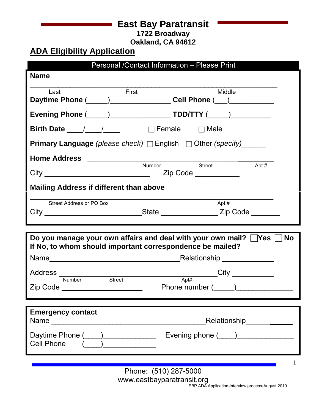# **East Bay Paratransit**

**1722 Broadway**

**Oakland, CA 94612**

# **ADA Eligibility Application**

| Personal /Contact Information - Please Print                                                                                                                                                                                   |  |  |  |  |  |
|--------------------------------------------------------------------------------------------------------------------------------------------------------------------------------------------------------------------------------|--|--|--|--|--|
| <b>Name</b>                                                                                                                                                                                                                    |  |  |  |  |  |
| First<br>Middle<br>Last                                                                                                                                                                                                        |  |  |  |  |  |
| Daytime Phone (Changelet Coll Phone (Changelet Phone (Changelet Phone (Changelet Phone Changelet Phone Changelet Phone Changelet Phone Changelet Phone Changelet Phone Changelet Phone Changelet Phone Changelet Phone Changel |  |  |  |  |  |
|                                                                                                                                                                                                                                |  |  |  |  |  |
| Birth Date $\frac{1}{2}$ / $\frac{1}{2}$<br>$\Box$ Female $\Box$ Male                                                                                                                                                          |  |  |  |  |  |
| <b>Primary Language</b> (please check) $\Box$ English $\Box$ Other (specify) _______                                                                                                                                           |  |  |  |  |  |
|                                                                                                                                                                                                                                |  |  |  |  |  |
| Street<br>Apt.#<br>Zip Code                                                                                                                                                                                                    |  |  |  |  |  |
| <b>Mailing Address if different than above</b>                                                                                                                                                                                 |  |  |  |  |  |
|                                                                                                                                                                                                                                |  |  |  |  |  |
| Apt.#<br>Street Address or PO Box                                                                                                                                                                                              |  |  |  |  |  |
| City _________________________________State ______________________Zip Code _________                                                                                                                                           |  |  |  |  |  |
|                                                                                                                                                                                                                                |  |  |  |  |  |
|                                                                                                                                                                                                                                |  |  |  |  |  |
| Do you manage your own affairs and deal with your own mail? Yes No                                                                                                                                                             |  |  |  |  |  |
| If No, to whom should important correspondence be mailed?                                                                                                                                                                      |  |  |  |  |  |
|                                                                                                                                                                                                                                |  |  |  |  |  |
| ______City ___________<br>Apt#<br><b>Street</b><br><b>Number</b>                                                                                                                                                               |  |  |  |  |  |
| Phone number (______)_________<br>Zip Code ______________________                                                                                                                                                              |  |  |  |  |  |
|                                                                                                                                                                                                                                |  |  |  |  |  |
| <b>Emergency contact</b>                                                                                                                                                                                                       |  |  |  |  |  |
| Relationship <sub>______________</sub><br>Name                                                                                                                                                                                 |  |  |  |  |  |
| Evening phone (____)______________<br>Daytime Phone (____)_____________<br><b>Cell Phone</b>                                                                                                                                   |  |  |  |  |  |
|                                                                                                                                                                                                                                |  |  |  |  |  |
| 1<br>Phone: (510) 287-5000                                                                                                                                                                                                     |  |  |  |  |  |

EBP ADA Application-Interview process-August 2010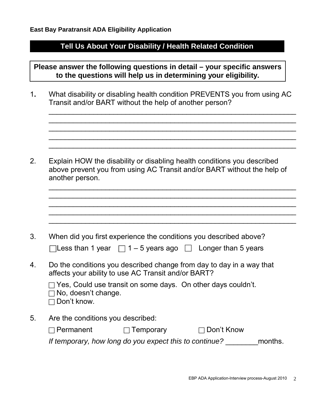### **Tell Us About Your Disability / Health Related Condition**

**Please answer the following questions in detail – your specific answers to the questions will help us in determining your eligibility.**

1**.** What disability or disabling health condition PREVENTS you from using AC Transit and/or BART without the help of another person?

 $\_$  , and the set of the set of the set of the set of the set of the set of the set of the set of the set of the set of the set of the set of the set of the set of the set of the set of the set of the set of the set of th  $\_$  , and the set of the set of the set of the set of the set of the set of the set of the set of the set of the set of the set of the set of the set of the set of the set of the set of the set of the set of the set of th  $\_$  , and the set of the set of the set of the set of the set of the set of the set of the set of the set of the set of the set of the set of the set of the set of the set of the set of the set of the set of the set of th  $\_$  , and the set of the set of the set of the set of the set of the set of the set of the set of the set of the set of the set of the set of the set of the set of the set of the set of the set of the set of the set of th  $\_$  , and the set of the set of the set of the set of the set of the set of the set of the set of the set of the set of the set of the set of the set of the set of the set of the set of the set of the set of the set of th

 $\mathcal{L}_\text{max}$  , and the contract of the contract of the contract of the contract of the contract of the contract of the contract of the contract of the contract of the contract of the contract of the contract of the contr

2. Explain HOW the disability or disabling health conditions you described above prevent you from using AC Transit and/or BART without the help of another person.

| 3. | When did you first experience the conditions you described above?<br>$\Box$ Less than 1 year $\Box$ 1 – 5 years ago $\Box$ Longer than 5 years                                                                                           |
|----|------------------------------------------------------------------------------------------------------------------------------------------------------------------------------------------------------------------------------------------|
| 4. | Do the conditions you described change from day to day in a way that<br>affects your ability to use AC Transit and/or BART?<br>$\Box$ Yes, Could use transit on some days. On other days couldn't.<br>No, doesn't change.<br>Don't know. |
| 5. | Are the conditions you described:<br>Don't Know<br>Permanent<br>Temporary<br>If temporary, how long do you expect this to continue?<br>months.                                                                                           |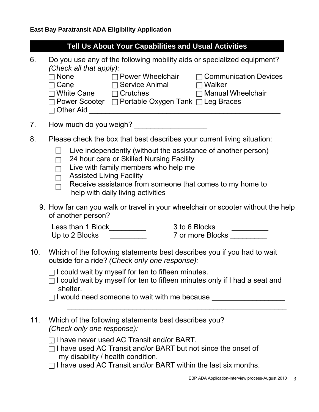|                                                                                                                                  | <b>Tell Us About Your Capabilities and Usual Activities</b>                                                                                                                                                                                                                             |  |  |
|----------------------------------------------------------------------------------------------------------------------------------|-----------------------------------------------------------------------------------------------------------------------------------------------------------------------------------------------------------------------------------------------------------------------------------------|--|--|
| 6.                                                                                                                               | Do you use any of the following mobility aids or specialized equipment?<br>(Check all that apply):<br>$\Box$ Cane $\Box$ Service Animal $\Box$ Walker<br>◯ White Cane (Crutches Computed Delair Nanual Wheelchair<br>$\Box$ Power Scooter $\Box$ Portable Oxygen Tank $\Box$ Leg Braces |  |  |
| 7.                                                                                                                               |                                                                                                                                                                                                                                                                                         |  |  |
| 8.                                                                                                                               | Please check the box that best describes your current living situation:                                                                                                                                                                                                                 |  |  |
|                                                                                                                                  | Live independently (without the assistance of another person)<br>24 hour care or Skilled Nursing Facility<br>Live with family members who help me<br><b>Assisted Living Facility</b><br>Receive assistance from someone that comes to my home to<br>help with daily living activities   |  |  |
|                                                                                                                                  | 9. How far can you walk or travel in your wheelchair or scooter without the help<br>of another person?                                                                                                                                                                                  |  |  |
|                                                                                                                                  | 3 to 6 Blocks<br>Less than 1 Block__________<br>7 or more Blocks ____<br>Up to 2 Blocks $\qquad \qquad$                                                                                                                                                                                 |  |  |
| Which of the following statements best describes you if you had to wait<br>10.<br>outside for a ride? (Check only one response): |                                                                                                                                                                                                                                                                                         |  |  |
|                                                                                                                                  | $\Box$ I could wait by myself for ten to fifteen minutes.<br>$\Box$ I could wait by myself for ten to fifteen minutes only if I had a seat and<br>shelter.<br>□ I would need someone to wait with me because _________________________________                                          |  |  |
| 11.                                                                                                                              | Which of the following statements best describes you?<br>(Check only one response):                                                                                                                                                                                                     |  |  |
|                                                                                                                                  | $\Box$ I have never used AC Transit and/or BART.<br>$\sqcap$ I have used AC Transit and/or BART but not since the onset of<br>my disability / health condition.                                                                                                                         |  |  |

 $\Box$  I have used AC Transit and/or BART within the last six months.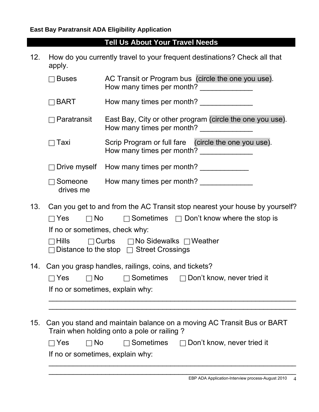#### **Tell Us About Your Travel Needs**

12. How do you currently travel to your frequent destinations? Check all that apply.

| <b>Buses</b>       | AC Transit or Program bus (circle the one you use).<br>How many times per month?       |
|--------------------|----------------------------------------------------------------------------------------|
| $\Box$ BART        | How many times per month?                                                              |
| $\Box$ Paratransit | East Bay, City or other program (circle the one you use).<br>How many times per month? |
| $\Box$ Taxi        | Scrip Program or full fare (circle the one you use).<br>How many times per month?      |

Drive myself How many times per month?

| $\Box$ Someone | How many times per month? |  |
|----------------|---------------------------|--|
| drives me      |                           |  |

13. Can you get to and from the AC Transit stop nearest your house by yourself?

| $\Box$ Yes $\Box$ No |                                |                                                                                                                     | $\Box$ Sometimes $\Box$ Don't know where the stop is |
|----------------------|--------------------------------|---------------------------------------------------------------------------------------------------------------------|------------------------------------------------------|
|                      | If no or sometimes, check why: |                                                                                                                     |                                                      |
|                      |                                | $\Box$ Hills $\Box$ Curbs $\Box$ No Sidewalks $\Box$ Weather<br>$\Box$ Distance to the stop $\Box$ Street Crossings |                                                      |

14. Can you grasp handles, railings, coins, and tickets?

| $\Box$ Yes                       | $\Box$ No | $\Box$ Sometimes | $\Box$ Don't know, never tried it |
|----------------------------------|-----------|------------------|-----------------------------------|
| If no or sometimes, explain why: |           |                  |                                   |

 $\_$  , and the set of the set of the set of the set of the set of the set of the set of the set of the set of the set of the set of the set of the set of the set of the set of the set of the set of the set of the set of th  $\_$  , and the set of the set of the set of the set of the set of the set of the set of the set of the set of the set of the set of the set of the set of the set of the set of the set of the set of the set of the set of th

 $\mathcal{L}_\text{max}$  , and the contract of the contract of the contract of the contract of the contract of the contract of the contract of the contract of the contract of the contract of the contract of the contract of the contr

15. Can you stand and maintain balance on a moving AC Transit Bus or BART Train when holding onto a pole or railing ?  $\mathbf{y}_{\text{new}} = \mathbf{y}_{\text{new}}$ 

| $\Box$ Yes<br>$\Box$ No |  | $\Box$ Sometimes |  | $\Box$ Don't know, never tried it |  |  |
|-------------------------|--|------------------|--|-----------------------------------|--|--|
|-------------------------|--|------------------|--|-----------------------------------|--|--|

If no or sometimes, explain why: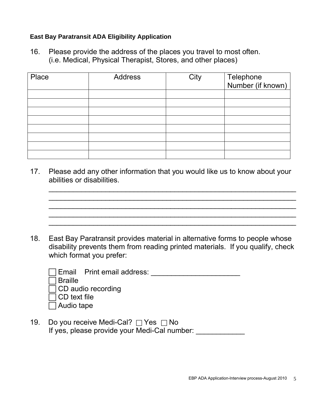#### **East Bay Paratransit ADA Eligibility Application**

16. Please provide the address of the places you travel to most often. (i.e. Medical, Physical Therapist, Stores, and other places)

| Place | <b>Address</b> | City | Telephone<br>Number (if known) |
|-------|----------------|------|--------------------------------|
|       |                |      |                                |
|       |                |      |                                |
|       |                |      |                                |
|       |                |      |                                |
|       |                |      |                                |
|       |                |      |                                |
|       |                |      |                                |
|       |                |      |                                |

17. Please add any other information that you would like us to know about your abilities or disabilities.

 $\_$  , and the set of the set of the set of the set of the set of the set of the set of the set of the set of the set of the set of the set of the set of the set of the set of the set of the set of the set of the set of th  $\mathcal{L}_\text{max}$  , and the contract of the contract of the contract of the contract of the contract of the contract of the contract of the contract of the contract of the contract of the contract of the contract of the contr

 $\mathcal{L}_\mathcal{L}$  , and the set of the set of the set of the set of the set of the set of the set of the set of the set of the set of the set of the set of the set of the set of the set of the set of the set of the set of th  $\mathcal{L}_\text{max}$  , and the contract of the contract of the contract of the contract of the contract of the contract of the contract of the contract of the contract of the contract of the contract of the contract of the contr  $\mathcal{L}_\text{max}$  , and the contract of the contract of the contract of the contract of the contract of the contract of the contract of the contract of the contract of the contract of the contract of the contract of the contr

18. East Bay Paratransit provides material in alternative forms to people whose disability prevents them from reading printed materials. If you qualify, check which format you prefer:

|                     | Email Print email address: |
|---------------------|----------------------------|
| <b>Braille</b>      |                            |
|                     | $\Box$ CD audio recording  |
| $\Box$ CD text file |                            |
| $\Box$ Audio tape   |                            |
|                     |                            |

19. Do you receive Medi-Cal?  $\Box$  Yes  $\Box$  No If yes, please provide your Medi-Cal number: \_\_\_\_\_\_\_\_\_\_\_\_\_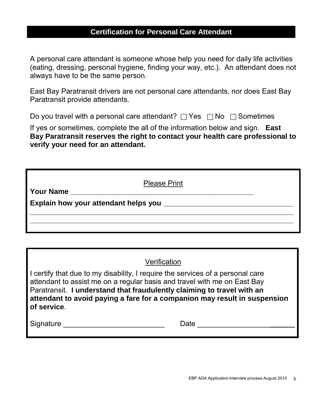### **Certification for Personal Care Attendant**

A personal care attendant is someone whose help you need for daily life activities (eating, dressing, personal hygiene, finding your way, etc.). An attendant does not always have to be the same person.

East Bay Paratransit drivers are not personal care attendants, nor does East Bay Paratransit provide attendants.

Do you travel with a personal care attendant?  $\Box$  Yes  $\Box$  No  $\Box$  Sometimes

If yes or sometimes, complete the all of the information below and sign. **East Bay Paratransit reserves the right to contact your health care professional to verify your need for an attendant.**

| Your Name | <b>Please Print</b> |  |
|-----------|---------------------|--|
|           |                     |  |
|           |                     |  |
|           |                     |  |

|             | Verification                                                                                                                                                                                                                                                                                                      |
|-------------|-------------------------------------------------------------------------------------------------------------------------------------------------------------------------------------------------------------------------------------------------------------------------------------------------------------------|
| of service. | I certify that due to my disability, I require the services of a personal care<br>attendant to assist me on a regular basis and travel with me on East Bay<br>Paratransit. I understand that fraudulently claiming to travel with an<br>attendant to avoid paying a fare for a companion may result in suspension |
| Signature   | Date                                                                                                                                                                                                                                                                                                              |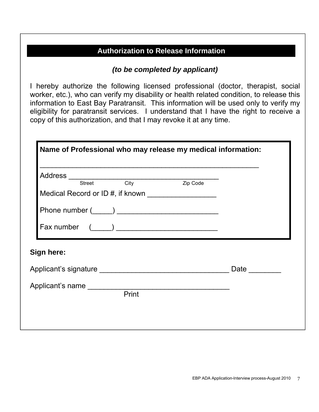## **Authorization to Release Information**

#### *(to be completed by applicant)*

I hereby authorize the following licensed professional (doctor, therapist, social worker, etc.), who can verify my disability or health related condition, to release this information to East Bay Paratransit. This information will be used only to verify my eligibility for paratransit services. I understand that I have the right to receive a copy of this authorization, and that I may revoke it at any time.

| Medical Record or ID #, if known |                  |
|----------------------------------|------------------|
|                                  |                  |
| Fax number $(\_\_\_)$            |                  |
| Sign here:                       |                  |
|                                  | Date <b>Date</b> |
|                                  |                  |
| Print                            |                  |